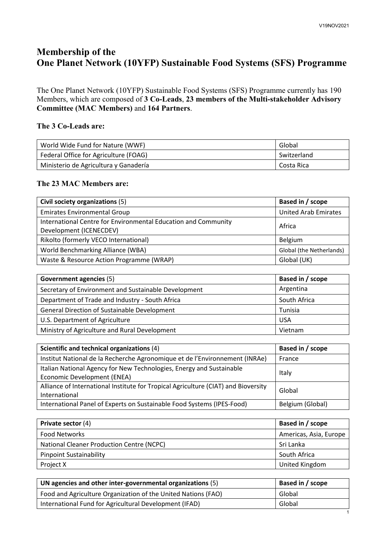## **Membership of the One Planet Network (10YFP) Sustainable Food Systems (SFS) Programme**

The One Planet Network (10YFP) Sustainable Food Systems (SFS) Programme currently has 190 Members, which are composed of **3 Co-Leads**, **23 members of the Multi-stakeholder Advisory Committee (MAC Members)** and **164 Partners**.

## **The 3 Co-Leads are:**

| World Wide Fund for Nature (WWF)      | Global      |
|---------------------------------------|-------------|
| Federal Office for Agriculture (FOAG) | Switzerland |
| Ministerio de Agricultura y Ganadería | Costa Rica  |

## **The 23 MAC Members are:**

| Civil society organizations (5)                                                           | Based in / scope            |
|-------------------------------------------------------------------------------------------|-----------------------------|
| <b>Emirates Environmental Group</b>                                                       | <b>United Arab Emirates</b> |
| International Centre for Environmental Education and Community<br>Development (ICENECDEV) | Africa                      |
| Rikolto (formerly VECO International)                                                     | Belgium                     |
| World Benchmarking Alliance (WBA)                                                         | Global (the Netherlands)    |
| Waste & Resource Action Programme (WRAP)                                                  | Global (UK)                 |

| <b>Government agencies (5)</b>                       | Based in / scope |
|------------------------------------------------------|------------------|
| Secretary of Environment and Sustainable Development | Argentina        |
| Department of Trade and Industry - South Africa      | South Africa     |
| <b>General Direction of Sustainable Development</b>  | Tunisia          |
| U.S. Department of Agriculture                       | <b>USA</b>       |
| Ministry of Agriculture and Rural Development        | Vietnam          |

| Scientific and technical organizations (4)                                                          | Based in / scope |
|-----------------------------------------------------------------------------------------------------|------------------|
| Institut National de la Recherche Agronomique et de l'Environnement (INRAe)                         | France           |
| Italian National Agency for New Technologies, Energy and Sustainable<br>Economic Development (ENEA) | Italy            |
| Alliance of International Institute for Tropical Agriculture (CIAT) and Bioversity<br>International | Global           |
| International Panel of Experts on Sustainable Food Systems (IPES-Food)                              | Belgium (Global) |

| Private sector (4)                               | Based in / scope       |
|--------------------------------------------------|------------------------|
| Food Networks                                    | Americas, Asia, Europe |
| <b>National Cleaner Production Centre (NCPC)</b> | Sri Lanka              |
| <b>Pinpoint Sustainability</b>                   | South Africa           |
| Project X                                        | United Kingdom         |

| UN agencies and other inter-governmental organizations (5)    | Based in / scope |
|---------------------------------------------------------------|------------------|
| Food and Agriculture Organization of the United Nations (FAO) | Global           |
| International Fund for Agricultural Development (IFAD)        | Global           |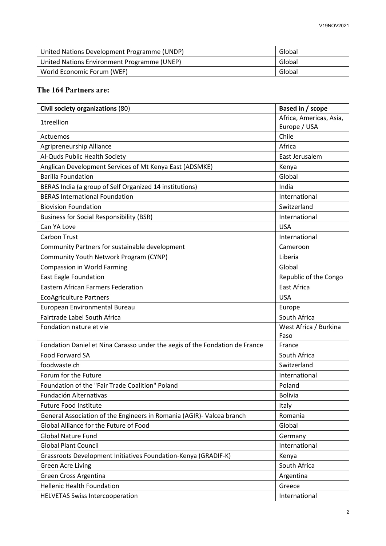| United Nations Development Programme (UNDP) | Global |
|---------------------------------------------|--------|
| United Nations Environment Programme (UNEP) | Global |
| World Economic Forum (WEF)                  | Global |

## **The 164 Partners are:**

| Civil society organizations (80)                                            | Based in / scope        |
|-----------------------------------------------------------------------------|-------------------------|
| <b>1treellion</b>                                                           | Africa, Americas, Asia, |
|                                                                             | Europe / USA            |
| Actuemos                                                                    | Chile                   |
| Agripreneurship Alliance                                                    | Africa                  |
| Al-Quds Public Health Society                                               | East Jerusalem          |
| Anglican Development Services of Mt Kenya East (ADSMKE)                     | Kenya                   |
| <b>Barilla Foundation</b>                                                   | Global                  |
| BERAS India (a group of Self Organized 14 institutions)                     | India                   |
| <b>BERAS International Foundation</b>                                       | International           |
| <b>Biovision Foundation</b>                                                 | Switzerland             |
| <b>Business for Social Responsibility (BSR)</b>                             | International           |
| Can YA Love                                                                 | <b>USA</b>              |
| <b>Carbon Trust</b>                                                         | International           |
| Community Partners for sustainable development                              | Cameroon                |
| Community Youth Network Program (CYNP)                                      | Liberia                 |
| <b>Compassion in World Farming</b>                                          | Global                  |
| <b>East Eagle Foundation</b>                                                | Republic of the Congo   |
| <b>Eastern African Farmers Federation</b>                                   | <b>East Africa</b>      |
| <b>EcoAgriculture Partners</b>                                              | <b>USA</b>              |
| European Environmental Bureau                                               | Europe                  |
| Fairtrade Label South Africa                                                | South Africa            |
| Fondation nature et vie                                                     | West Africa / Burkina   |
|                                                                             | Faso                    |
| Fondation Daniel et Nina Carasso under the aegis of the Fondation de France | France                  |
| Food Forward SA                                                             | South Africa            |
| foodwaste.ch                                                                | Switzerland             |
| Forum for the Future                                                        | International           |
| Foundation of the "Fair Trade Coalition" Poland                             | Poland                  |
| Fundación Alternativas                                                      | <b>Bolivia</b>          |
| <b>Future Food Institute</b>                                                | Italy                   |
| General Association of the Engineers in Romania (AGIR)- Valcea branch       | Romania                 |
| Global Alliance for the Future of Food                                      | Global                  |
| <b>Global Nature Fund</b>                                                   | Germany                 |
| <b>Global Plant Council</b>                                                 | International           |
| Grassroots Development Initiatives Foundation-Kenya (GRADIF-K)              | Kenya                   |
| <b>Green Acre Living</b>                                                    | South Africa            |
| Green Cross Argentina                                                       | Argentina               |
| <b>Hellenic Health Foundation</b>                                           | Greece                  |
| <b>HELVETAS Swiss Intercooperation</b>                                      | International           |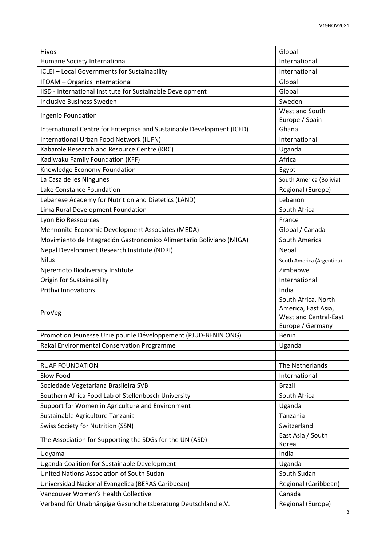| Hivos                                                                                     | Global                       |
|-------------------------------------------------------------------------------------------|------------------------------|
| Humane Society International                                                              | International                |
| ICLEI - Local Governments for Sustainability                                              | International                |
| IFOAM - Organics International                                                            | Global                       |
| IISD - International Institute for Sustainable Development                                | Global                       |
| <b>Inclusive Business Sweden</b>                                                          | Sweden                       |
| Ingenio Foundation                                                                        | West and South               |
|                                                                                           | Europe / Spain               |
| International Centre for Enterprise and Sustainable Development (ICED)                    | Ghana                        |
| International Urban Food Network (IUFN)                                                   | International                |
| Kabarole Research and Resource Centre (KRC)                                               | Uganda                       |
| Kadiwaku Family Foundation (KFF)                                                          | Africa                       |
| Knowledge Economy Foundation                                                              | Egypt                        |
| La Casa de les Ningunes                                                                   | South America (Bolivia)      |
| Lake Constance Foundation                                                                 | Regional (Europe)            |
| Lebanese Academy for Nutrition and Dietetics (LAND)                                       | Lebanon                      |
| Lima Rural Development Foundation                                                         | South Africa                 |
| Lyon Bio Ressources                                                                       | France                       |
| Mennonite Economic Development Associates (MEDA)                                          | Global / Canada              |
| Movimiento de Integración Gastronomico Alimentario Boliviano (MIGA)                       | South America                |
| Nepal Development Research Institute (NDRI)                                               | Nepal                        |
| <b>Nilus</b>                                                                              | South America (Argentina)    |
| Njeremoto Biodiversity Institute                                                          | Zimbabwe                     |
| Origin for Sustainability                                                                 | International                |
| <b>Prithvi Innovations</b>                                                                | India                        |
|                                                                                           | South Africa, North          |
| ProVeg                                                                                    | America, East Asia,          |
|                                                                                           | <b>West and Central-East</b> |
|                                                                                           | Europe / Germany             |
| Promotion Jeunesse Unie pour le Développement (PJUD-BENIN ONG)                            | <b>Benin</b>                 |
| Rakai Environmental Conservation Programme                                                | Uganda                       |
|                                                                                           |                              |
| <b>RUAF FOUNDATION</b>                                                                    | The Netherlands              |
| Slow Food                                                                                 | International                |
| Sociedade Vegetariana Brasileira SVB                                                      | <b>Brazil</b>                |
| Southern Africa Food Lab of Stellenbosch University                                       | South Africa                 |
| Support for Women in Agriculture and Environment                                          | Uganda                       |
| Sustainable Agriculture Tanzania                                                          | Tanzania                     |
| <b>Swiss Society for Nutrition (SSN)</b>                                                  | Switzerland                  |
| The Association for Supporting the SDGs for the UN (ASD)                                  | East Asia / South            |
|                                                                                           | Korea<br>India               |
| Udyama                                                                                    |                              |
| Uganda Coalition for Sustainable Development<br>United Nations Association of South Sudan | Uganda<br>South Sudan        |
|                                                                                           |                              |
| Universidad Nacional Evangelica (BERAS Caribbean)                                         | Regional (Caribbean)         |
| Vancouver Women's Health Collective                                                       | Canada                       |
| Verband für Unabhängige Gesundheitsberatung Deutschland e.V.                              | Regional (Europe)            |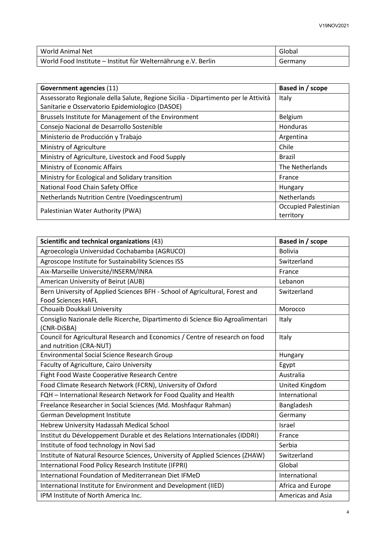| World Animal Net                                              | Global  |
|---------------------------------------------------------------|---------|
| World Food Institute - Institut für Welternährung e.V. Berlin | Germany |

| Government agencies (11)                                                           | Based in / scope     |
|------------------------------------------------------------------------------------|----------------------|
| Assessorato Regionale della Salute, Regione Sicilia - Dipartimento per le Attività | Italy                |
| Sanitarie e Osservatorio Epidemiologico (DASOE)                                    |                      |
| Brussels Institute for Management of the Environment                               | Belgium              |
| Consejo Nacional de Desarrollo Sostenible                                          | Honduras             |
| Ministerio de Producción y Trabajo                                                 | Argentina            |
| Ministry of Agriculture                                                            | Chile                |
| Ministry of Agriculture, Livestock and Food Supply                                 | <b>Brazil</b>        |
| Ministry of Economic Affairs                                                       | The Netherlands      |
| Ministry for Ecological and Solidary transition                                    | France               |
| National Food Chain Safety Office                                                  | Hungary              |
| Netherlands Nutrition Centre (Voedingscentrum)                                     | <b>Netherlands</b>   |
| Palestinian Water Authority (PWA)                                                  | Occupied Palestinian |
|                                                                                    | territory            |

| Scientific and technical organizations (43)                                                               | Based in / scope         |
|-----------------------------------------------------------------------------------------------------------|--------------------------|
| Agroecología Universidad Cochabamba (AGRUCO)                                                              | <b>Bolivia</b>           |
| Agroscope Institute for Sustainability Sciences ISS                                                       | Switzerland              |
| Aix-Marseille Université/INSERM/INRA                                                                      | France                   |
| American University of Beirut (AUB)                                                                       | Lebanon                  |
| Bern University of Applied Sciences BFH - School of Agricultural, Forest and<br><b>Food Sciences HAFL</b> | Switzerland              |
| Chouaib Doukkali University                                                                               | Morocco                  |
| Consiglio Nazionale delle Ricerche, Dipartimento di Science Bio Agroalimentari<br>(CNR-DiSBA)             | Italy                    |
| Council for Agricultural Research and Economics / Centre of research on food<br>and nutrition (CRA-NUT)   | Italy                    |
| Environmental Social Science Research Group                                                               | Hungary                  |
| Faculty of Agriculture, Cairo University                                                                  | Egypt                    |
| Fight Food Waste Cooperative Research Centre                                                              | Australia                |
| Food Climate Research Network (FCRN), University of Oxford                                                | United Kingdom           |
| FQH - International Research Network for Food Quality and Health                                          | International            |
| Freelance Researcher in Social Sciences (Md. Moshfaqur Rahman)                                            | Bangladesh               |
| German Development Institute                                                                              | Germany                  |
| Hebrew University Hadassah Medical School                                                                 | Israel                   |
| Institut du Développement Durable et des Relations Internationales (IDDRI)                                | France                   |
| Institute of food technology in Novi Sad                                                                  | Serbia                   |
| Institute of Natural Resource Sciences, University of Applied Sciences (ZHAW)                             | Switzerland              |
| International Food Policy Research Institute (IFPRI)                                                      | Global                   |
| International Foundation of Mediterranean Diet IFMeD                                                      | International            |
| International Institute for Environment and Development (IIED)                                            | Africa and Europe        |
| IPM Institute of North America Inc.                                                                       | <b>Americas and Asia</b> |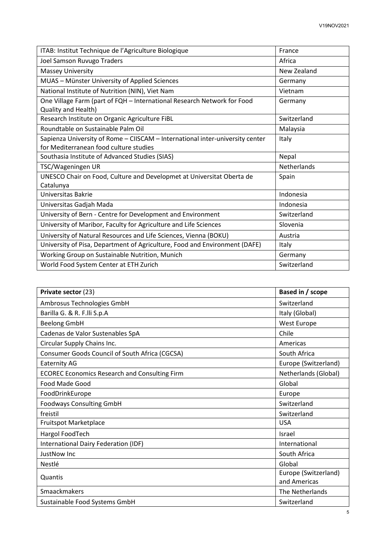| ITAB: Institut Technique de l'Agriculture Biologique                                                                    | France      |
|-------------------------------------------------------------------------------------------------------------------------|-------------|
| Joel Samson Ruvugo Traders                                                                                              | Africa      |
| <b>Massey University</b>                                                                                                | New Zealand |
| MUAS - Münster University of Applied Sciences                                                                           | Germany     |
| National Institute of Nutrition (NIN), Viet Nam                                                                         | Vietnam     |
| One Village Farm (part of FQH - International Research Network for Food<br>Quality and Health)                          | Germany     |
| Research Institute on Organic Agriculture FiBL                                                                          | Switzerland |
| Roundtable on Sustainable Palm Oil                                                                                      | Malaysia    |
| Sapienza University of Rome - CIISCAM - International inter-university center<br>for Mediterranean food culture studies | Italy       |
| Southasia Institute of Advanced Studies (SIAS)                                                                          | Nepal       |
| TSC/Wageningen UR                                                                                                       | Netherlands |
| UNESCO Chair on Food, Culture and Developmet at Universitat Oberta de<br>Catalunya                                      | Spain       |
| Universitas Bakrie                                                                                                      | Indonesia   |
| Universitas Gadjah Mada                                                                                                 | Indonesia   |
| University of Bern - Centre for Development and Environment                                                             | Switzerland |
| University of Maribor, Faculty for Agriculture and Life Sciences                                                        | Slovenia    |
| University of Natural Resources and Life Sciences, Vienna (BOKU)                                                        | Austria     |
| University of Pisa, Department of Agriculture, Food and Environment (DAFE)                                              | Italy       |
| Working Group on Sustainable Nutrition, Munich                                                                          | Germany     |
| World Food System Center at ETH Zurich                                                                                  | Switzerland |

| Private sector (23)                                  | Based in / scope     |
|------------------------------------------------------|----------------------|
| Ambrosus Technologies GmbH                           | Switzerland          |
| Barilla G. & R. F.Ili S.p.A                          | Italy (Global)       |
| <b>Beelong GmbH</b>                                  | West Europe          |
| Cadenas de Valor Sustenables SpA                     | Chile                |
| Circular Supply Chains Inc.                          | Americas             |
| Consumer Goods Council of South Africa (CGCSA)       | South Africa         |
| <b>Eaternity AG</b>                                  | Europe (Switzerland) |
| <b>ECOREC Economics Research and Consulting Firm</b> | Netherlands (Global) |
| Food Made Good                                       | Global               |
| FoodDrinkEurope                                      | Europe               |
| <b>Foodways Consulting GmbH</b>                      | Switzerland          |
| freistil                                             | Switzerland          |
| Fruitspot Marketplace                                | <b>USA</b>           |
| Hargol FoodTech                                      | Israel               |
| International Dairy Federation (IDF)                 | International        |
| JustNow Inc                                          | South Africa         |
| <b>Nestlé</b>                                        | Global               |
| Quantis                                              | Europe (Switzerland) |
|                                                      | and Americas         |
| Smaackmakers                                         | The Netherlands      |
| Sustainable Food Systems GmbH                        | Switzerland          |